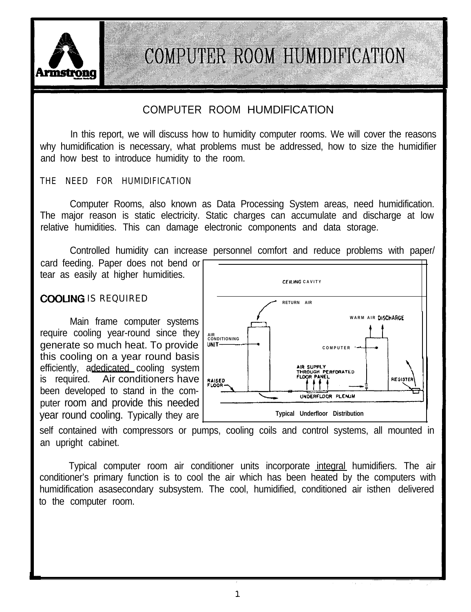

### COMPUTER ROOM HUMDlFlCATlON

In this report, we will discuss how to humidity computer rooms. We will cover the reasons why humidification is necessary, what problems must be addressed, how to size the humidifier and how best to introduce humidity to the room.

THE NEED FOR HUMIDIFICATION

Computer Rooms, also known as Data Processing System areas, need humidification. The major reason is static electricity. Static charges can accumulate and discharge at low relative humidities. This can damage electronic components and data storage.

Controlled humidity can increase personnel comfort and reduce problems with paper/ card feeding. Paper does not bend or tear as easily at higher humidities.

### COOLING IS REQUIRED

require cooling year-round since they aenerate so much heat. To provide | WIT this cooling on a year round basis efficiently, adedicated cooling system is required. Air conditioners have been developed to stand in the computer room and provide this needed year round cooling. Typically they are



self contained with compressors or pumps, cooling coils and control systems, all mounted in an upright cabinet.

Typical computer room air conditioner units incorporate integral humidifiers. The air conditioner's primary function is to cool the air which has been heated by the computers with humidification asasecondary subsystem. The cool, humidified, conditioned air isthen delivered to the computer room.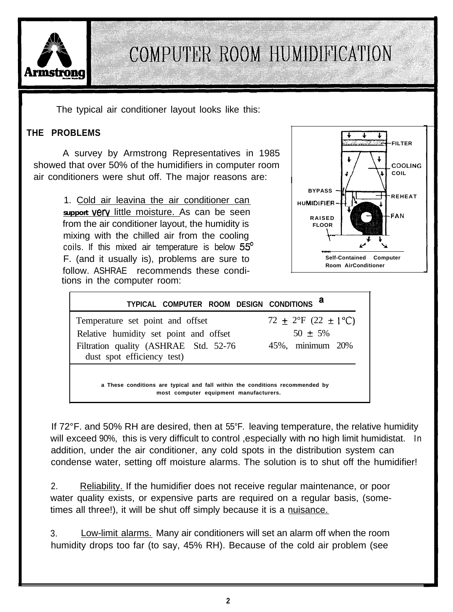

The typical air conditioner layout looks like this:

### **THE PROBLEMS**

A survey by Armstrong Representatives in 1985 showed that over 50% of the humidifiers in computer room air conditioners were shut off. The major reasons are:

> 1. Cold air leavina the air conditioner can support **verv** little moisture. As can be seen from the air conditioner layout, the humidity is mixing with the chilled air from the cooling coils. If this mixed air temperature is below  $55^{\circ}$ F. (and it usually is), problems are sure to follow. ASHRAE recommends these conditions in the computer room:



| TYPICAL COMPUTER ROOM DESIGN CONDITIONS <sup>a</sup>                                                                                              |                                                               |  |  |  |  |  |  |
|---------------------------------------------------------------------------------------------------------------------------------------------------|---------------------------------------------------------------|--|--|--|--|--|--|
| Temperature set point and offset<br>Relative humidity set point and offset<br>Filtration quality (ASHRAE Std. 52-76<br>dust spot efficiency test) | 72 $\pm$ 2°F (22 $\pm$ 1°C)<br>$50 + 5\%$<br>45%, minimum 20% |  |  |  |  |  |  |
| a These conditions are typical and fall within the conditions recommended by<br>most computer equipment manufacturers.                            |                                                               |  |  |  |  |  |  |

If 72°F. and 50% RH are desired, then at 55°F. leaving temperature, the relative humidity will exceed 90%, this is very difficult to control , especially with no high limit humidistat. In addition, under the air conditioner, any cold spots in the distribution system can condense water, setting off moisture alarms. The solution is to shut off the humidifier!

2. Reliability. If the humidifier does not receive regular maintenance, or poor water quality exists, or expensive parts are required on a regular basis, (sometimes all three!), it will be shut off simply because it is a nuisance.

3. Low-limit alarms. Many air conditioners will set an alarm off when the room humidity drops too far (to say, 45% RH). Because of the cold air problem (see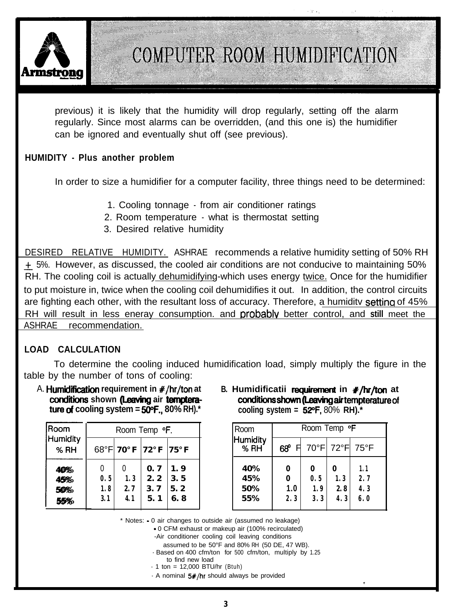

previous) it is likely that the humidity will drop regularly, setting off the alarm regularly. Since most alarms can be overridden, (and this one is) the humidifier can be ignored and eventually shut off (see previous).

#### **HUMIDITY - Plus another problem**

In order to size a humidifier for a computer facility, three things need to be determined:

- 1. Cooling tonnage from air conditioner ratings
- 2. Room temperature what is thermostat setting
- 3. Desired relative humidity

DESIRED RELATIVE HUMIDITY. ASHRAE recommends a relative humidity setting of 50% RH + 5%. However, as discussed, the cooled air conditions are not conducive to maintaining 50% RH. The cooling coil is actually dehumidifying-which uses energy twice. Once for the humidifier to put moisture in, twice when the cooling coil dehumidifies it out. In addition, the control circuits are fighting each other, with the resultant loss of accuracy. Therefore, a humidity setting of 45% RH will result in less eneray consumption. and orobablv better control, and **still** meet the ASHRAE recommendation.

#### **LOAD CALCULATION**

To determine the cooling induced humidification load, simply multiply the figure in the table by the number of tons of cooling: A. **Humidification**<br>
To determine the cooling induced humidification load, simply multiply the figure<br>
le by the number of tons of cooling:<br>
A. **Humidification requirement in #/hr/ton at**<br> **B. Humidificatii requirement in** 

**ture of cooling system =**  $50^{\circ}$ **F., 80% RH).<sup>\*</sup>**  $\qquad$  **cooling system =**  $52^{\circ}$ **F, 80% RH).<sup>\*</sup>** 

| <b>Room</b>              | Room Temp <b>F.</b>    |                   |                          |                          |  |  |
|--------------------------|------------------------|-------------------|--------------------------|--------------------------|--|--|
| <b>Humidity</b><br>% RH  |                        | 68°FI 70°F        | $72^{\circ}$ F           | $75°$ F                  |  |  |
| 40%<br>45%<br>50%<br>55% | 0<br>0.5<br>1.8<br>3.1 | 1.3<br>2.7<br>4.1 | 0.7<br>2.2<br>3.7<br>5.1 | 1.9<br>3.5<br>5.2<br>6.8 |  |  |

A. **Humidification** requirement in #/hr/ton at B. Humidificatii requirement in #/hr/ton at conditions shown (Leaving air tempterature of

| Room Temp <b>F.</b>     |                    | Room                     | Room Temp <b>F</b>       |                          |                                |                        |                        |                          |
|-------------------------|--------------------|--------------------------|--------------------------|--------------------------|--------------------------------|------------------------|------------------------|--------------------------|
|                         | 8°F 70°F 72°F 75°F |                          |                          | Humidity<br>% RH         | 68°                            |                        |                        | 70°F 72°F 75°F           |
| 0<br>0. 5<br>1.8<br>3.1 | 1, 3<br>2,7<br>4.1 | 0.7<br>2.2<br>3.7<br>5.1 | 1.9<br>3.5<br>5.2<br>6.8 | 40%<br>45%<br>50%<br>55% | 0<br>$\mathbf 0$<br>1.0<br>2.3 | 0<br>0.5<br>1.9<br>3.3 | 0<br>1.3<br>2.8<br>4.3 | 1.1<br>2.7<br>4.3<br>6.0 |

.I

\* Notes: - 0 air changes to outside air (assumed no leakage)

- 0 CFM exhaust or makeup air (100% recirculated)
- -Air conditioner cooling coil leaving conditions
	- assumed to be 50°F and 80% RH (50 DE, 47 WB).
- Based on 400 cfm/ton for 500 cfm/ton, multiply by 1.25
- to find new load
- $-1$  ton = 12,000 BTU/hr (Btuh)
- $-$  A nominal  $5#/hr$  should always be provided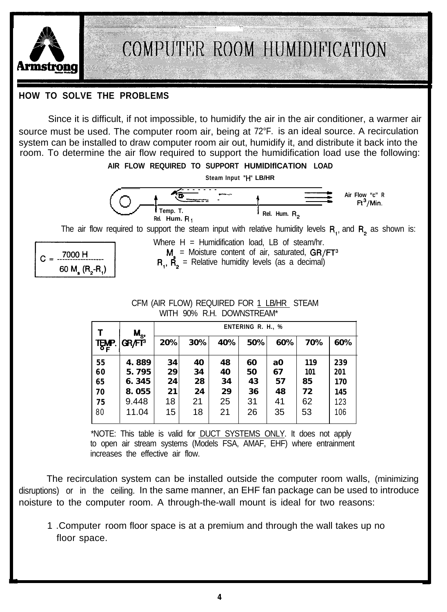

#### **HOW TO SOLVE THE PROBLEMS**

Since it is difficult, if not impossible, to humidify the air in the air conditioner, a warmer air source must be used. The computer room air, being at 72°F. is an ideal source. A recirculation system can be installed to draw computer room air out, humidify it, and distribute it back into the room. To determine the air flow required to support the humidification load use the following:



$$
C = \frac{7000 \text{ H}}{60 \text{ M}_\text{s} (\text{R}_2 - \text{R}_1)}
$$

The air flow required to support the steam input with relative humidity levels  $R_1$ , and  $R_2$  as shown is:<br>
Where  $H =$  Humidification load, LB of steam/hr.<br>  $C = \frac{7000 \text{ H}}{60 \text{ M} (B - B)}$ <br>  $R_1$ ,  $R_2$  = Relative humidit Where  $H =$  Humidification load, LB of steam/hr.  $M =$  Moisture content of air, saturated, GR/FT<sup>3</sup>

 $R_1$ ,  $\dot{R_2}$  = Relative humidity levels (as a decimal)

#### CFM (AIR FLOW) REQUIRED FOR 1 LB/HR STEAM WITH 90% R.H. DOWNSTREAM\*

|                    | <b>ENTERING R. H., %</b>           |                |                |                |                |                |                   |
|--------------------|------------------------------------|----------------|----------------|----------------|----------------|----------------|-------------------|
| GR/FT <sup>3</sup> | 20%                                | 30%            | 40%            | 50%            | 60%            | 70%            | 60%               |
| 4.889              | 34                                 | 40             | 48             | 60             | a0             | 119            | 239               |
|                    |                                    |                |                |                |                |                | 201               |
|                    |                                    |                |                |                |                |                | <b>170</b><br>145 |
| 9.448              | 18                                 | 21             | 25             | 31             | 41             | 62             | 123               |
| 11.04              | 15                                 | 18             | 21             | 26             | 35             | 53             | 106               |
|                    | $M_{S}$<br>5.795<br>6.345<br>8.055 | 29<br>24<br>21 | 34<br>28<br>24 | 40<br>34<br>29 | 50<br>43<br>36 | 67<br>57<br>48 | 101<br>85<br>72   |

\*NOTE: This table is valid for DUCT SYSTEMS ONLY. It does not apply to open air stream systems (Models FSA, AMAF, EHF) where entrainment increases the effective air flow.

The recirculation system can be installed outside the computer room walls, (minimizing disruptions) or in the ceiling. In the same manner, an EHF fan package can be used to introduce noisture to the computer room. A through-the-wall mount is ideal for two reasons:

1 .Computer room floor space is at a premium and through the wall takes up no floor space.